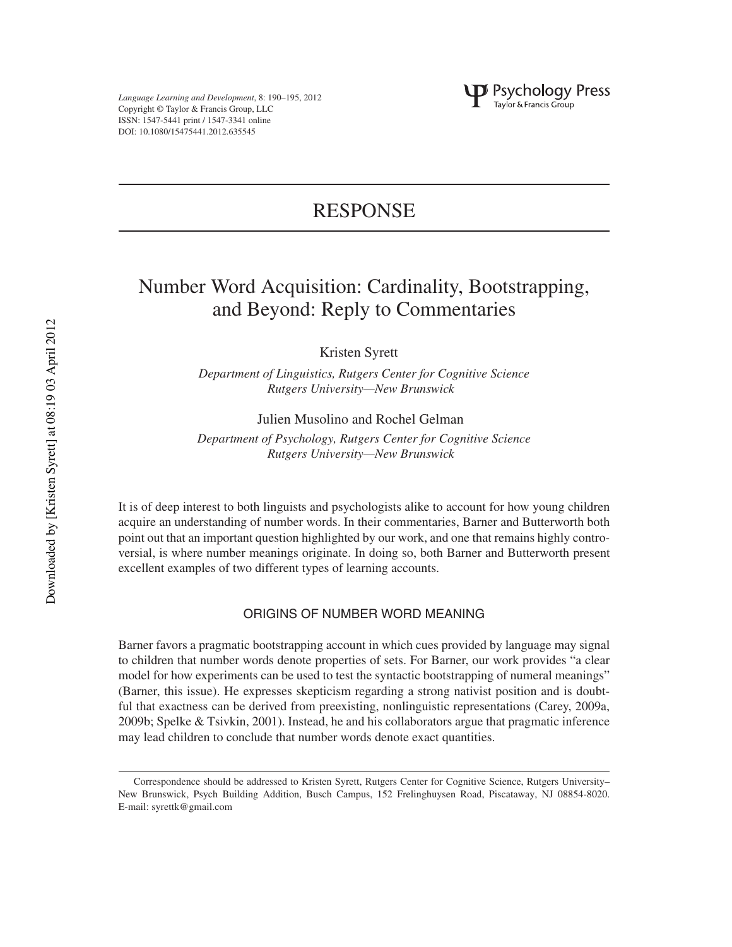*Language Learning and Development*, 8: 190–195, 2012 Copyright © Taylor & Francis Group, LLC ISSN: 1547-5441 print / 1547-3341 online DOI: 10.1080/15475441.2012.635545

# RESPONSE

# Number Word Acquisition: Cardinality, Bootstrapping, and Beyond: Reply to Commentaries

Kristen Syrett

*Department of Linguistics, Rutgers Center for Cognitive Science Rutgers University—New Brunswick*

Julien Musolino and Rochel Gelman

*Department of Psychology, Rutgers Center for Cognitive Science Rutgers University—New Brunswick*

It is of deep interest to both linguists and psychologists alike to account for how young children acquire an understanding of number words. In their commentaries, Barner and Butterworth both point out that an important question highlighted by our work, and one that remains highly controversial, is where number meanings originate. In doing so, both Barner and Butterworth present excellent examples of two different types of learning accounts.

## ORIGINS OF NUMBER WORD MEANING

Barner favors a pragmatic bootstrapping account in which cues provided by language may signal to children that number words denote properties of sets. For Barner, our work provides "a clear model for how experiments can be used to test the syntactic bootstrapping of numeral meanings" (Barner, this issue). He expresses skepticism regarding a strong nativist position and is doubtful that exactness can be derived from preexisting, nonlinguistic representations (Carey, 2009a, 2009b; Spelke & Tsivkin, 2001). Instead, he and his collaborators argue that pragmatic inference may lead children to conclude that number words denote exact quantities.

Correspondence should be addressed to Kristen Syrett, Rutgers Center for Cognitive Science, Rutgers University– New Brunswick, Psych Building Addition, Busch Campus, 152 Frelinghuysen Road, Piscataway, NJ 08854-8020. E-mail: syrettk@gmail.com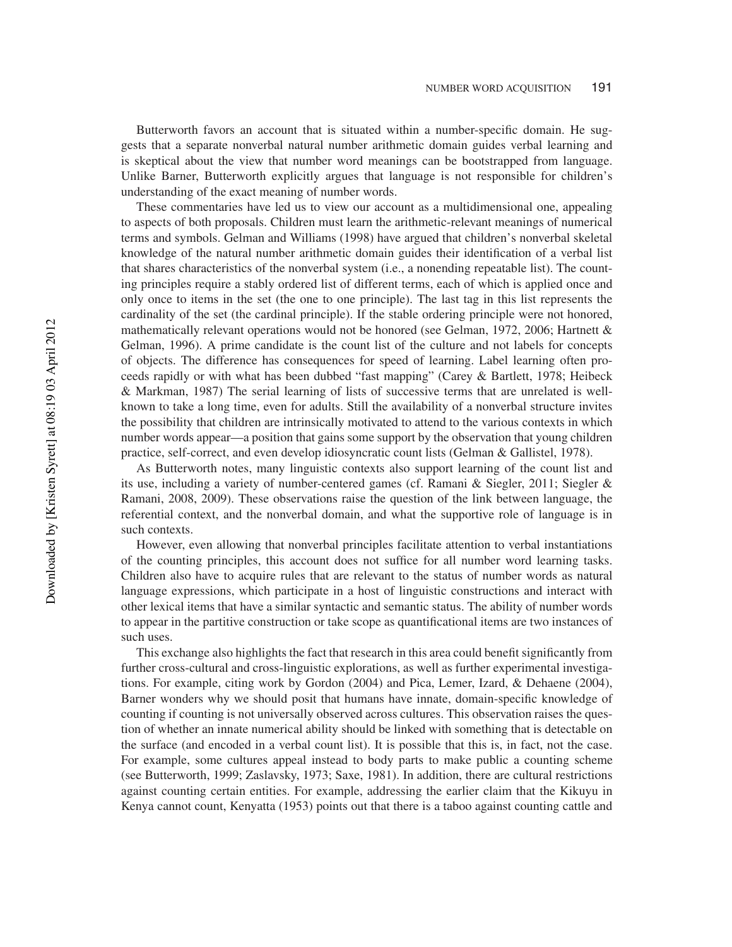Butterworth favors an account that is situated within a number-specific domain. He suggests that a separate nonverbal natural number arithmetic domain guides verbal learning and is skeptical about the view that number word meanings can be bootstrapped from language. Unlike Barner, Butterworth explicitly argues that language is not responsible for children's understanding of the exact meaning of number words.

These commentaries have led us to view our account as a multidimensional one, appealing to aspects of both proposals. Children must learn the arithmetic-relevant meanings of numerical terms and symbols. Gelman and Williams (1998) have argued that children's nonverbal skeletal knowledge of the natural number arithmetic domain guides their identification of a verbal list that shares characteristics of the nonverbal system (i.e., a nonending repeatable list). The counting principles require a stably ordered list of different terms, each of which is applied once and only once to items in the set (the one to one principle). The last tag in this list represents the cardinality of the set (the cardinal principle). If the stable ordering principle were not honored, mathematically relevant operations would not be honored (see Gelman, 1972, 2006; Hartnett & Gelman, 1996). A prime candidate is the count list of the culture and not labels for concepts of objects. The difference has consequences for speed of learning. Label learning often proceeds rapidly or with what has been dubbed "fast mapping" (Carey & Bartlett, 1978; Heibeck & Markman, 1987) The serial learning of lists of successive terms that are unrelated is wellknown to take a long time, even for adults. Still the availability of a nonverbal structure invites the possibility that children are intrinsically motivated to attend to the various contexts in which number words appear—a position that gains some support by the observation that young children practice, self-correct, and even develop idiosyncratic count lists (Gelman & Gallistel, 1978).

As Butterworth notes, many linguistic contexts also support learning of the count list and its use, including a variety of number-centered games (cf. Ramani & Siegler, 2011; Siegler & Ramani, 2008, 2009). These observations raise the question of the link between language, the referential context, and the nonverbal domain, and what the supportive role of language is in such contexts.

However, even allowing that nonverbal principles facilitate attention to verbal instantiations of the counting principles, this account does not suffice for all number word learning tasks. Children also have to acquire rules that are relevant to the status of number words as natural language expressions, which participate in a host of linguistic constructions and interact with other lexical items that have a similar syntactic and semantic status. The ability of number words to appear in the partitive construction or take scope as quantificational items are two instances of such uses.

This exchange also highlights the fact that research in this area could benefit significantly from further cross-cultural and cross-linguistic explorations, as well as further experimental investigations. For example, citing work by Gordon (2004) and Pica, Lemer, Izard, & Dehaene (2004), Barner wonders why we should posit that humans have innate, domain-specific knowledge of counting if counting is not universally observed across cultures. This observation raises the question of whether an innate numerical ability should be linked with something that is detectable on the surface (and encoded in a verbal count list). It is possible that this is, in fact, not the case. For example, some cultures appeal instead to body parts to make public a counting scheme (see Butterworth, 1999; Zaslavsky, 1973; Saxe, 1981). In addition, there are cultural restrictions against counting certain entities. For example, addressing the earlier claim that the Kikuyu in Kenya cannot count, Kenyatta (1953) points out that there is a taboo against counting cattle and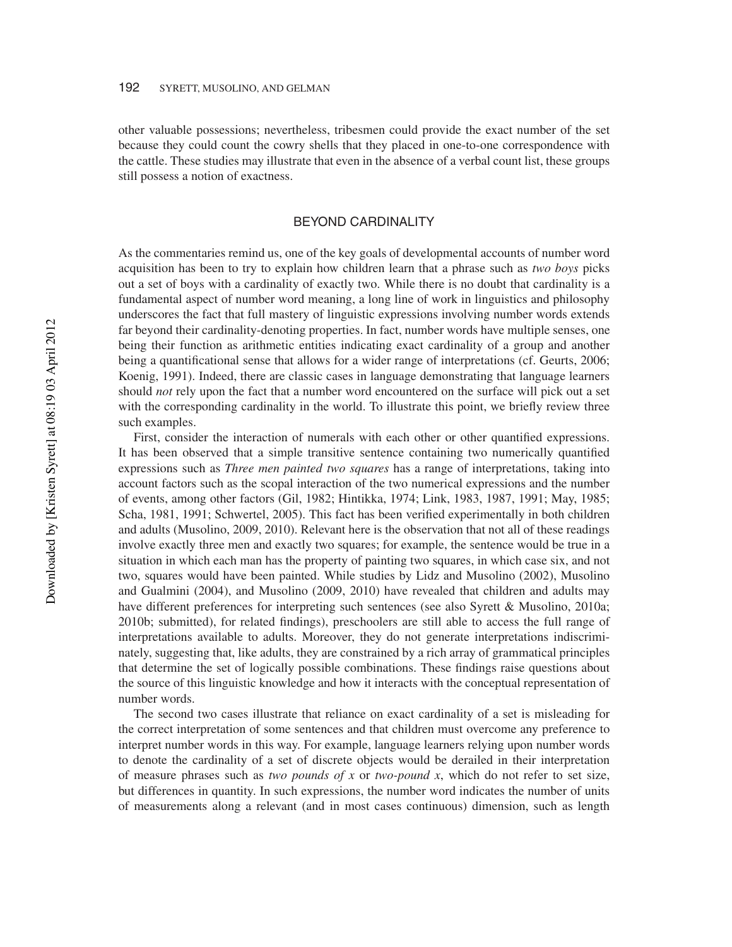other valuable possessions; nevertheless, tribesmen could provide the exact number of the set because they could count the cowry shells that they placed in one-to-one correspondence with the cattle. These studies may illustrate that even in the absence of a verbal count list, these groups still possess a notion of exactness.

### BEYOND CARDINALITY

As the commentaries remind us, one of the key goals of developmental accounts of number word acquisition has been to try to explain how children learn that a phrase such as *two boys* picks out a set of boys with a cardinality of exactly two. While there is no doubt that cardinality is a fundamental aspect of number word meaning, a long line of work in linguistics and philosophy underscores the fact that full mastery of linguistic expressions involving number words extends far beyond their cardinality-denoting properties. In fact, number words have multiple senses, one being their function as arithmetic entities indicating exact cardinality of a group and another being a quantificational sense that allows for a wider range of interpretations (cf. Geurts, 2006; Koenig, 1991). Indeed, there are classic cases in language demonstrating that language learners should *not* rely upon the fact that a number word encountered on the surface will pick out a set with the corresponding cardinality in the world. To illustrate this point, we briefly review three such examples.

First, consider the interaction of numerals with each other or other quantified expressions. It has been observed that a simple transitive sentence containing two numerically quantified expressions such as *Three men painted two squares* has a range of interpretations, taking into account factors such as the scopal interaction of the two numerical expressions and the number of events, among other factors (Gil, 1982; Hintikka, 1974; Link, 1983, 1987, 1991; May, 1985; Scha, 1981, 1991; Schwertel, 2005). This fact has been verified experimentally in both children and adults (Musolino, 2009, 2010). Relevant here is the observation that not all of these readings involve exactly three men and exactly two squares; for example, the sentence would be true in a situation in which each man has the property of painting two squares, in which case six, and not two, squares would have been painted. While studies by Lidz and Musolino (2002), Musolino and Gualmini (2004), and Musolino (2009, 2010) have revealed that children and adults may have different preferences for interpreting such sentences (see also Syrett & Musolino, 2010a; 2010b; submitted), for related findings), preschoolers are still able to access the full range of interpretations available to adults. Moreover, they do not generate interpretations indiscriminately, suggesting that, like adults, they are constrained by a rich array of grammatical principles that determine the set of logically possible combinations. These findings raise questions about the source of this linguistic knowledge and how it interacts with the conceptual representation of number words.

The second two cases illustrate that reliance on exact cardinality of a set is misleading for the correct interpretation of some sentences and that children must overcome any preference to interpret number words in this way. For example, language learners relying upon number words to denote the cardinality of a set of discrete objects would be derailed in their interpretation of measure phrases such as *two pounds of x* or *two-pound x*, which do not refer to set size, but differences in quantity. In such expressions, the number word indicates the number of units of measurements along a relevant (and in most cases continuous) dimension, such as length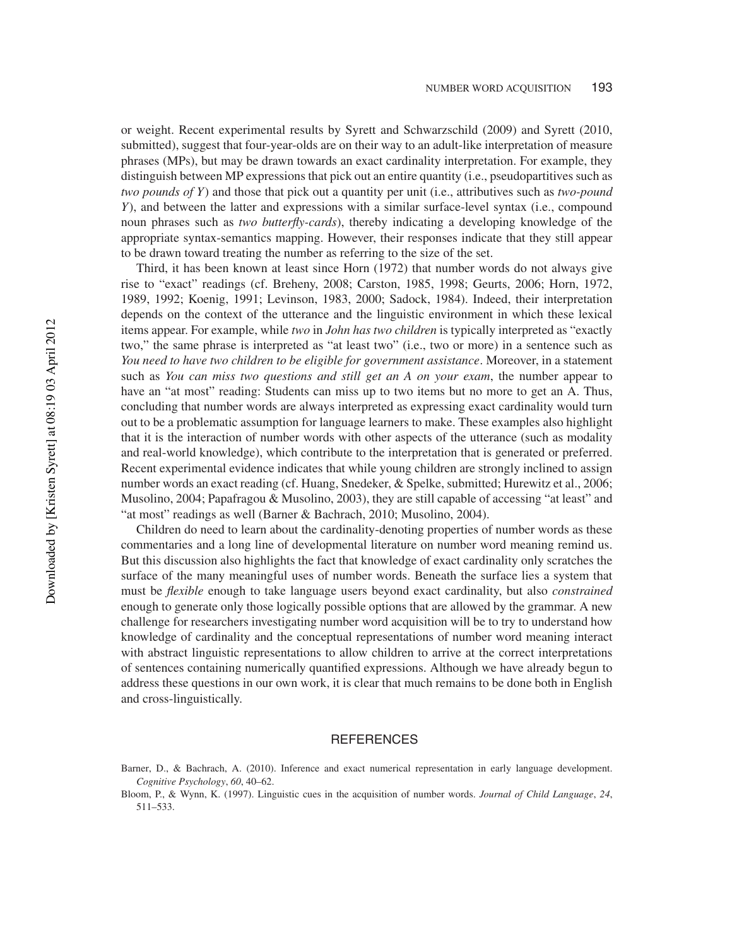or weight. Recent experimental results by Syrett and Schwarzschild (2009) and Syrett (2010, submitted), suggest that four-year-olds are on their way to an adult-like interpretation of measure phrases (MPs), but may be drawn towards an exact cardinality interpretation. For example, they distinguish between MP expressions that pick out an entire quantity (i.e., pseudopartitives such as *two pounds of Y*) and those that pick out a quantity per unit (i.e., attributives such as *two-pound Y*), and between the latter and expressions with a similar surface-level syntax (i.e., compound noun phrases such as *two butterfly-cards*), thereby indicating a developing knowledge of the appropriate syntax-semantics mapping. However, their responses indicate that they still appear to be drawn toward treating the number as referring to the size of the set.

Third, it has been known at least since Horn (1972) that number words do not always give rise to "exact" readings (cf. Breheny, 2008; Carston, 1985, 1998; Geurts, 2006; Horn, 1972, 1989, 1992; Koenig, 1991; Levinson, 1983, 2000; Sadock, 1984). Indeed, their interpretation depends on the context of the utterance and the linguistic environment in which these lexical items appear. For example, while *two* in *John has two children* is typically interpreted as "exactly two," the same phrase is interpreted as "at least two" (i.e., two or more) in a sentence such as *You need to have two children to be eligible for government assistance*. Moreover, in a statement such as *You can miss two questions and still get an A on your exam*, the number appear to have an "at most" reading: Students can miss up to two items but no more to get an A. Thus, concluding that number words are always interpreted as expressing exact cardinality would turn out to be a problematic assumption for language learners to make. These examples also highlight that it is the interaction of number words with other aspects of the utterance (such as modality and real-world knowledge), which contribute to the interpretation that is generated or preferred. Recent experimental evidence indicates that while young children are strongly inclined to assign number words an exact reading (cf. Huang, Snedeker, & Spelke, submitted; Hurewitz et al., 2006; Musolino, 2004; Papafragou & Musolino, 2003), they are still capable of accessing "at least" and "at most" readings as well (Barner & Bachrach, 2010; Musolino, 2004).

Children do need to learn about the cardinality-denoting properties of number words as these commentaries and a long line of developmental literature on number word meaning remind us. But this discussion also highlights the fact that knowledge of exact cardinality only scratches the surface of the many meaningful uses of number words. Beneath the surface lies a system that must be *flexible* enough to take language users beyond exact cardinality, but also *constrained* enough to generate only those logically possible options that are allowed by the grammar. A new challenge for researchers investigating number word acquisition will be to try to understand how knowledge of cardinality and the conceptual representations of number word meaning interact with abstract linguistic representations to allow children to arrive at the correct interpretations of sentences containing numerically quantified expressions. Although we have already begun to address these questions in our own work, it is clear that much remains to be done both in English and cross-linguistically.

### **REFERENCES**

Barner, D., & Bachrach, A. (2010). Inference and exact numerical representation in early language development. *Cognitive Psychology*, *60*, 40–62.

Bloom, P., & Wynn, K. (1997). Linguistic cues in the acquisition of number words. *Journal of Child Language*, *24*, 511–533.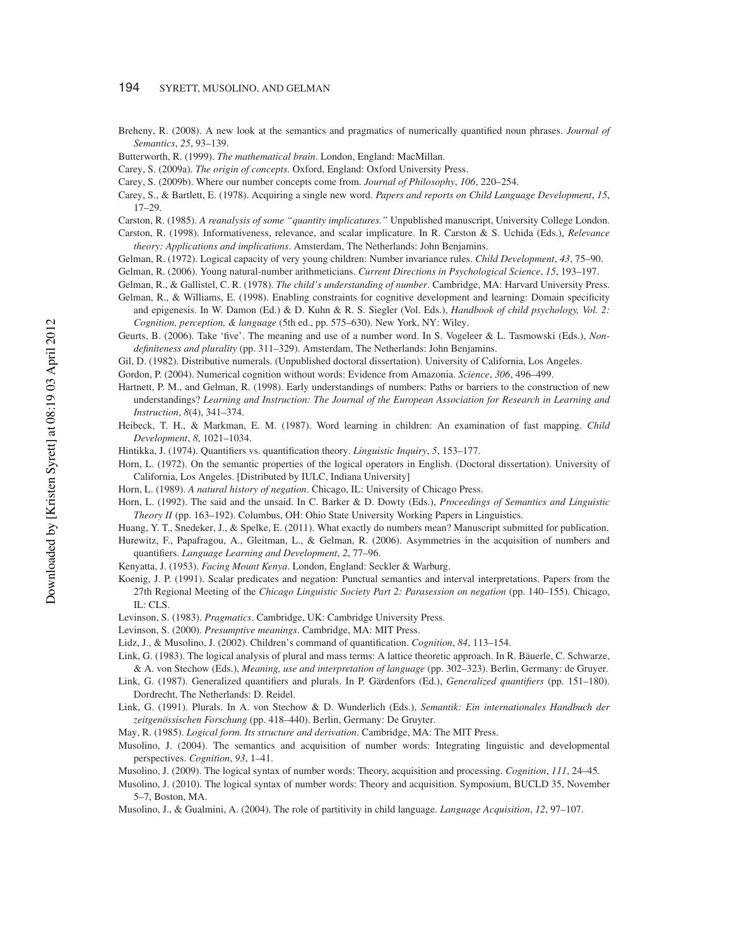#### 194 SYRETT, MUSOLINO, AND GELMAN

- Breheny, R. (2008). A new look at the semantics and pragmatics of numerically quantified noun phrases. *Journal of Semantics*, *25*, 93–139.
- Butterworth, R. (1999). *The mathematical brain*. London, England: MacMillan.
- Carey, S. (2009a). *The origin of concepts*. Oxford, England: Oxford University Press.
- Carey, S. (2009b). Where our number concepts come from. *Journal of Philosophy*, *106*, 220–254.
- Carey, S., & Bartlett, E. (1978). Acquiring a single new word. *Papers and reports on Child Language Development*, *15*, 17–29.
- Carston, R. (1985). *A reanalysis of some "quantity implicatures."* Unpublished manuscript, University College London.
- Carston, R. (1998). Informativeness, relevance, and scalar implicature. In R. Carston & S. Uchida (Eds.), *Relevance theory: Applications and implications*. Amsterdam, The Netherlands: John Benjamins.
- Gelman, R. (1972). Logical capacity of very young children: Number invariance rules. *Child Development*, *43*, 75–90.
- Gelman, R. (2006). Young natural-number arithmeticians. *Current Directions in Psychological Science*, *15*, 193–197.
- Gelman, R., & Gallistel, C. R. (1978). *The child's understanding of number*. Cambridge, MA: Harvard University Press. Gelman, R., & Williams, E. (1998). Enabling constraints for cognitive development and learning: Domain specificity
- and epigenesis. In W. Damon (Ed.) & D. Kuhn & R. S. Siegler (Vol. Eds.), *Handbook of child psychology, Vol. 2: Cognition, perception, & language* (5th ed., pp. 575–630). New York, NY: Wiley.
- Geurts, B. (2006). Take 'five'. The meaning and use of a number word. In S. Vogeleer & L. Tasmowski (Eds.), *Nondefiniteness and plurality* (pp. 311–329). Amsterdam, The Netherlands: John Benjamins.
- Gil, D. (1982). Distributive numerals. (Unpublished doctoral dissertation). University of California, Los Angeles.

Gordon, P. (2004). Numerical cognition without words: Evidence from Amazonia. *Science*, *306*, 496–499.

- Hartnett, P. M., and Gelman, R. (1998). Early understandings of numbers: Paths or barriers to the construction of new understandings? *Learning and Instruction: The Journal of the European Association for Research in Learning and Instruction*, *8*(4), 341–374.
- Heibeck, T. H., & Markman, E. M. (1987). Word learning in children: An examination of fast mapping. *Child Development*, *8*, 1021–1034.
- Hintikka, J. (1974). Quantifiers vs. quantification theory. *Linguistic Inquiry*, *5*, 153–177.
- Horn, L. (1972). On the semantic properties of the logical operators in English. (Doctoral dissertation). University of California, Los Angeles. [Distributed by IULC, Indiana University]
- Horn, L. (1989). *A natural history of negation*. Chicago, IL: University of Chicago Press.
- Horn, L. (1992). The said and the unsaid. In C. Barker & D. Dowty (Eds.), *Proceedings of Semantics and Linguistic Theory II* (pp. 163–192). Columbus, OH: Ohio State University Working Papers in Linguistics.
- Huang, Y. T., Snedeker, J., & Spelke, E. (2011). What exactly do numbers mean? Manuscript submitted for publication.
- Hurewitz, F., Papafragou, A., Gleitman, L., & Gelman, R. (2006). Asymmetries in the acquisition of numbers and quantifiers. *Language Learning and Development*, *2*, 77–96.
- Kenyatta, J. (1953). *Facing Mount Kenya*. London, England: Seckler & Warburg.
- Koenig, J. P. (1991). Scalar predicates and negation: Punctual semantics and interval interpretations. Papers from the 27th Regional Meeting of the *Chicago Linguistic Society Part 2: Parasession on negation* (pp. 140–155). Chicago, IL: CLS.
- Levinson, S. (1983). *Pragmatics*. Cambridge, UK: Cambridge University Press.
- Levinson, S. (2000). *Presumptive meanings*. Cambridge, MA: MIT Press.
- Lidz, J., & Musolino, J. (2002). Children's command of quantification. *Cognition*, *84*, 113–154.
- Link, G. (1983). The logical analysis of plural and mass terms: A lattice theoretic approach. In R. Bäuerle, C. Schwarze, & A. von Stechow (Eds.), *Meaning, use and interpretation of language* (pp. 302–323). Berlin, Germany: de Gruyer.
- Link, G. (1987). Generalized quantifiers and plurals. In P. Gärdenfors (Ed.), *Generalized quantifiers* (pp. 151–180). Dordrecht, The Netherlands: D. Reidel.
- Link, G. (1991). Plurals. In A. von Stechow & D. Wunderlich (Eds.), *Semantik: Ein internationales Handbuch der zeitgenössischen Forschung* (pp. 418–440). Berlin, Germany: De Gruyter.
- May, R. (1985). *Logical form. Its structure and derivation*. Cambridge, MA: The MIT Press.
- Musolino, J. (2004). The semantics and acquisition of number words: Integrating linguistic and developmental perspectives. *Cognition*, *93*, 1–41.
- Musolino, J. (2009). The logical syntax of number words: Theory, acquisition and processing. *Cognition*, *111*, 24–45.
- Musolino, J. (2010). The logical syntax of number words: Theory and acquisition. Symposium, BUCLD 35, November 5–7, Boston, MA.
- Musolino, J., & Gualmini, A. (2004). The role of partitivity in child language. *Language Acquisition*, *12*, 97–107.